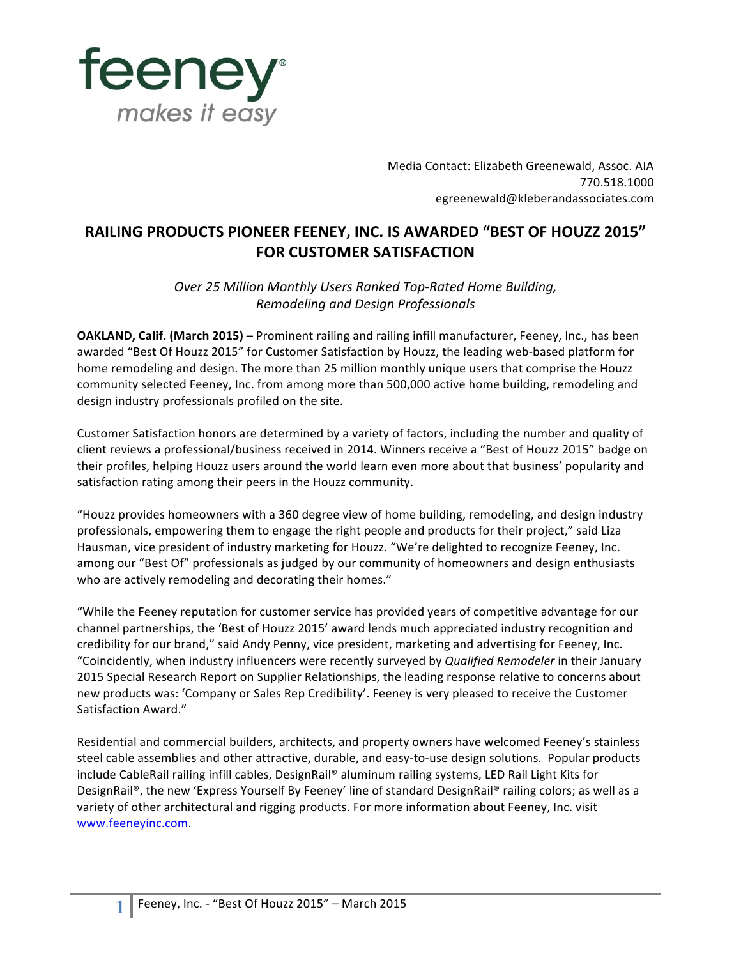

Media Contact: Elizabeth Greenewald, Assoc. AIA 770.518.1000 egreenewald@kleberandassociates.com

## **RAILING PRODUCTS PIONEER FEENEY, INC. IS AWARDED "BEST OF HOUZZ 2015" FOR CUSTOMER SATISFACTION**

**Over 25 Million Monthly Users Ranked Top-Rated Home Building,** *Remodeling and Design Professionals*

**OAKLAND, Calif. (March 2015)** – Prominent railing and railing infill manufacturer, Feeney, Inc., has been awarded "Best Of Houzz 2015" for Customer Satisfaction by Houzz, the leading web-based platform for home remodeling and design. The more than 25 million monthly unique users that comprise the Houzz community selected Feeney, Inc. from among more than 500,000 active home building, remodeling and design industry professionals profiled on the site.

Customer Satisfaction honors are determined by a variety of factors, including the number and quality of client reviews a professional/business received in 2014. Winners receive a "Best of Houzz 2015" badge on their profiles, helping Houzz users around the world learn even more about that business' popularity and satisfaction rating among their peers in the Houzz community.

"Houzz provides homeowners with a 360 degree view of home building, remodeling, and design industry professionals, empowering them to engage the right people and products for their project," said Liza Hausman, vice president of industry marketing for Houzz. "We're delighted to recognize Feeney, Inc. among our "Best Of" professionals as judged by our community of homeowners and design enthusiasts who are actively remodeling and decorating their homes."

"While the Feeney reputation for customer service has provided years of competitive advantage for our channel partnerships, the 'Best of Houzz 2015' award lends much appreciated industry recognition and credibility for our brand," said Andy Penny, vice president, marketing and advertising for Feeney, Inc. "Coincidently, when industry influencers were recently surveyed by *Qualified Remodeler* in their January 2015 Special Research Report on Supplier Relationships, the leading response relative to concerns about new products was: 'Company or Sales Rep Credibility'. Feeney is very pleased to receive the Customer Satisfaction Award."

Residential and commercial builders, architects, and property owners have welcomed Feeney's stainless steel cable assemblies and other attractive, durable, and easy-to-use design solutions. Popular products include CableRail railing infill cables, DesignRail® aluminum railing systems, LED Rail Light Kits for DesignRail®, the new 'Express Yourself By Feeney' line of standard DesignRail® railing colors; as well as a variety of other architectural and rigging products. For more information about Feeney, Inc. visit www.feeneyinc.com.